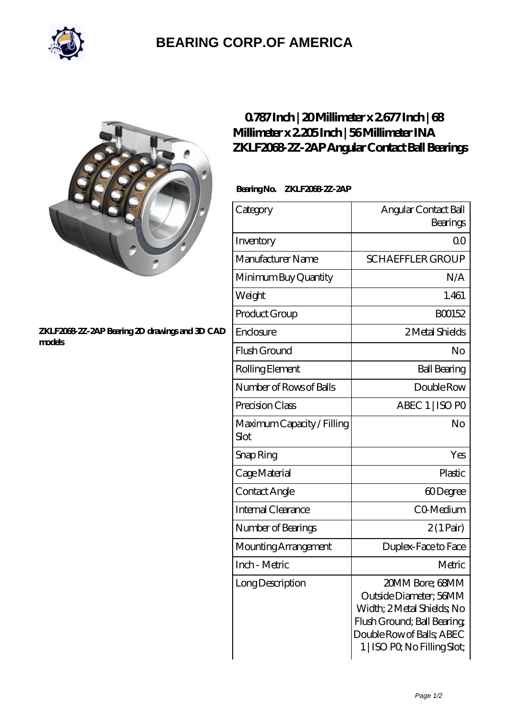

# **[BEARING CORP.OF AMERICA](https://bluemondayreview.com)**



#### **[ZKLF2068-2Z-2AP Bearing 2D drawings and 3D CAD](https://bluemondayreview.com/pic-172884.html) [models](https://bluemondayreview.com/pic-172884.html)**

## **[0.787 Inch | 20 Millimeter x 2.677 Inch | 68](https://bluemondayreview.com/bd-172884-ina-zklf2068-2z-2ap-angular-contact-ball-bearings.html) [Millimeter x 2.205 Inch | 56 Millimeter INA](https://bluemondayreview.com/bd-172884-ina-zklf2068-2z-2ap-angular-contact-ball-bearings.html) [ZKLF2068-2Z-2AP Angular Contact Ball Bearings](https://bluemondayreview.com/bd-172884-ina-zklf2068-2z-2ap-angular-contact-ball-bearings.html)**

### **Bearing No. ZKLF2068-2Z-2AP**

| Category                           | Angular Contact Ball<br>Bearings                                                                                                                                    |
|------------------------------------|---------------------------------------------------------------------------------------------------------------------------------------------------------------------|
| Inventory                          | 00                                                                                                                                                                  |
| Manufacturer Name                  | <b>SCHAEFFLER GROUP</b>                                                                                                                                             |
| Minimum Buy Quantity               | N/A                                                                                                                                                                 |
| Weight                             | 1.461                                                                                                                                                               |
| Product Group                      | BO0152                                                                                                                                                              |
| Enclosure                          | 2 Metal Shields                                                                                                                                                     |
| Flush Ground                       | No                                                                                                                                                                  |
| Rolling Element                    | <b>Ball Bearing</b>                                                                                                                                                 |
| Number of Rows of Balls            | Double Row                                                                                                                                                          |
| Precision Class                    | ABEC 1   ISO PO                                                                                                                                                     |
| Maximum Capacity / Filling<br>Slot | No                                                                                                                                                                  |
| Snap Ring                          | Yes                                                                                                                                                                 |
| Cage Material                      | Plastic                                                                                                                                                             |
| Contact Angle                      | 60Degree                                                                                                                                                            |
| <b>Internal Clearance</b>          | CO-Medium                                                                                                                                                           |
| Number of Bearings                 | $2(1 \text{Pair})$                                                                                                                                                  |
| Mounting Arrangement               | Duplex-Face to Face                                                                                                                                                 |
| Inch - Metric                      | Metric                                                                                                                                                              |
| Long Description                   | 20MM Bore; 68MM<br>Outside Diameter; 56MM<br>Width; 2 Metal Shields; No<br>Flush Ground; Ball Bearing;<br>Double Row of Balls, ABEC<br>1   ISO PO, No Filling Slot; |